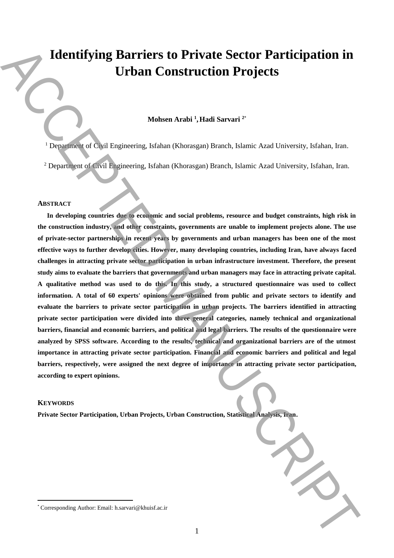# **Identifying Barriers to Private Sector Participation in Urban Construction Projects**

### **Mohsen Arabi <sup>1</sup> ,Hadi Sarvari <sup>2</sup>**\*

<sup>1</sup> Department of Civil Engineering, Isfahan (Khorasgan) Branch, Islamic Azad University, Isfahan, Iran.

<sup>2</sup> Department of Civil Engineering, Isfahan (Khorasgan) Branch, Islamic Azad University, Isfahan, Iran.

#### **ABSTRACT**

**In developing countries due to economic and social problems, resource and budget constraints, high risk in the construction industry, and other constraints, governments are unable to implement projects alone. The use of private-sector partnerships in recent years by governments and urban managers has been one of the most effective ways to further develop cities. However, many developing countries, including Iran, have always faced challenges in attracting private sector participation in urban infrastructure investment. Therefore, the present study aims to evaluate the barriers that governments and urban managers may face in attracting private capital. A qualitative method was used to do this. In this study, a structured questionnaire was used to collect information. A total of 60 experts' opinions were obtained from public and private sectors to identify and evaluate the barriers to private sector participation in urban projects. The barriers identified in attracting private sector participation were divided into three general categories, namely technical and organizational barriers, financial and economic barriers, and political and legal barriers. The results of the questionnaire were analyzed by SPSS software. According to the results, technical and organizational barriers are of the utmost importance in attracting private sector participation. Financial and economic barriers and political and legal barriers, respectively, were assigned the next degree of importance in attracting private sector participation, according to expert opinions. Example 2. Corresponding Author:** Email: **Construction Projects**<br>
Shaben Analoi <sup>1</sup>. Haali Sarvari<sup>2</sup><br>
Dependent of Colvin European of the Barbara (Khurangan) Branch, Islamic Acad University, Islamic lem.<br>
<sup>2</sup> Departme

#### **KEYWORDS**

 $\overline{a}$ 

**Private Sector Participation, Urban Projects, Urban Construction, Statistical Analysis, Iran.**

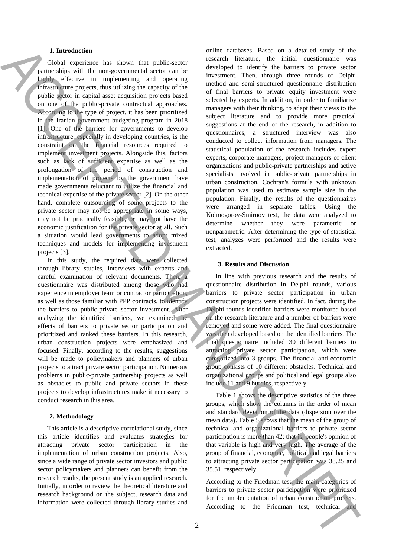### **1. Introduction**

Global experience has shown that public-sector partnerships with the non-governmental sector can be highly effective in implementing and operating infrastructure projects, thus utilizing the capacity of the public sector in capital asset acquisition projects based on one of the public-private contractual approaches. According to the type of project, it has been prioritized in the Iranian government budgeting program in 2018 [1]. One of the barriers for governments to develop infrastructure, especially in developing countries, is the constraint on the financial resources required to implement investment projects. Alongside this, factors such as lack of sufficient expertise as well as the prolongation of the period of construction and implementation of projects by the government have made governments reluctant to utilize the financial and technical expertise of the private sector [2]. On the other hand, complete outsourcing of some projects to the private sector may not be appropriate in some ways, may not be practically feasible, or may not have the economic justification for the private sector at all. Such a situation would lead governments to adopt mixed techniques and models for implementing investment projects [3].

In this study, the required data were collected through library studies, interviews with experts and careful examination of relevant documents. Then, a questionnaire was distributed among those who had experience in employer team or contractor participation, as well as those familiar with PPP contracts, to identify the barriers to public-private sector investment. After analyzing the identified barriers, we examined the effects of barriers to private sector participation and prioritized and ranked these barriers. In this research, urban construction projects were emphasized and focused. Finally, according to the results, suggestions will be made to policymakers and planners of urban projects to attract private sector participation. Numerous problems in public-private partnership projects as well as obstacles to public and private sectors in these projects to develop infrastructures make it necessary to conduct research in this area.

#### **2. Methodology**

This article is a descriptive correlational study, since this article identifies and evaluates strategies for attracting private sector participation in the implementation of urban construction projects. Also, since a wide range of private sector investors and public sector policymakers and planners can benefit from the research results, the present study is an applied research. Initially, in order to review the theoretical literature and research background on the subject, research data and information were collected through library studies and

online databases. Based on a detailed study of the research literature, the initial questionnaire was developed to identify the barriers to private sector investment. Then, through three rounds of Delphi method and semi-structured questionnaire distribution of final barriers to private equity investment were selected by experts. In addition, in order to familiarize managers with their thinking, to adapt their views to the subject literature and to provide more practical suggestions at the end of the research, in addition to questionnaires, a structured interview was also conducted to collect information from managers. The statistical population of the research includes expert experts, corporate managers, project managers of client organizations and public-private partnerships and active specialists involved in public-private partnerships in urban construction. Cochran's formula with unknown population was used to estimate sample size in the population. Finally, the results of the questionnaires were arranged in separate tables. Using the Kolmogorov-Smirnov test, the data were analyzed to determine whether they were parametric or nonparametric. After determining the type of statistical test, analyzes were performed and the results were extracted. Let the contract of the state in the state in the state in the state in the state in the state in the state in the state in the state in the state in the state in the state in the state in the state in the state in the st

#### **3. Results and Discussion**

In line with previous research and the results of questionnaire distribution in Delphi rounds, various barriers to private sector participation in urban construction projects were identified. In fact, during the Delphi rounds identified barriers were monitored based on the research literature and a number of barriers were removed and some were added. The final questionnaire was then developed based on the identified barriers. The final questionnaire included 30 different barriers to attracting private sector participation, which were categorized into 3 groups. The financial and economic group consists of 10 different obstacles. Technical and organizational groups and political and legal groups also include 11 and 9 hurdles, respectively.

Table 1 shows the descriptive statistics of the three groups, which show the columns in the order of mean and standard deviation of the data (dispersion over the mean data). Table 5 shows that the mean of the group of technical and organizational barriers to private sector participation is more than 42; that is, people's opinion of that variable is high and very high. The average of the group of financial, economic, political and legal barriers to attracting private sector participation was 38.25 and 35.51, respectively.

According to the Friedman test, the main categories of barriers to private sector participation were prioritized for the implementation of urban construction projects.